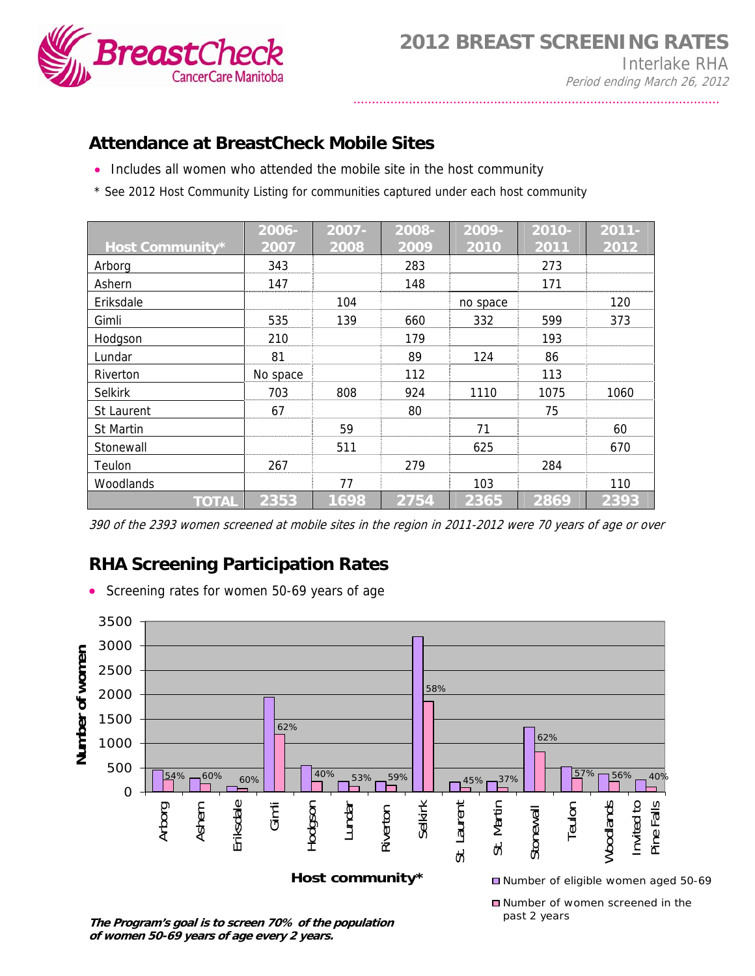

## **Attendance at BreastCheck Mobile Sites**

- Includes all women who attended the mobile site in the host community
- \* See 2012 Host Community Listing for communities captured under each host community

|                  | 2006-    | 2007- | 2008- | 2009-    | 2010- | $2011 -$ |
|------------------|----------|-------|-------|----------|-------|----------|
| Host Community*  | 2007     | 2008  | 2009  | 2010     | 2011  | 2012     |
| Arborg           | 343      |       | 283   |          | 273   |          |
| Ashern           | 147      |       | 148   |          | 171   |          |
| Eriksdale        |          | 104   |       | no space |       | 120      |
| Gimli            | 535      | 139   | 660   | 332      | 599   | 373      |
| Hodgson          | 210      |       | 179   |          | 193   |          |
| Lundar           | 81       |       | 89    | 124      | 86    |          |
| Riverton         | No space |       | 112   |          | 113   |          |
| <b>Selkirk</b>   | 703      | 808   | 924   | 1110     | 1075  | 1060     |
| St Laurent       | 67       |       | 80    |          | 75    |          |
| <b>St Martin</b> |          | 59    |       | 71       |       | 60       |
| Stonewall        |          | 511   |       | 625      |       | 670      |
| Teulon           | 267      |       | 279   |          | 284   |          |
| Woodlands        |          | 77    |       | 103      |       | 110      |
| <b>TOTAL</b>     | 2353     | 1698  | 2754  | 2365     | 2869  | 2393     |

<sup>390</sup> of the 2393 women screened at mobile sites in the region in 2011-2012 were 70 years of age or over

## **RHA Screening Participation Rates**

• Screening rates for women 50-69 years of age



**The Program's goal is to screen 70% of the population of women 50-69 years of age every 2 years.**